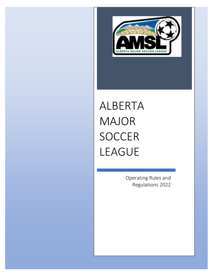

# ALBERTA MAJOR **SOCCER** LEAGUE

Operating Rules and Regulations 2022

0 | Page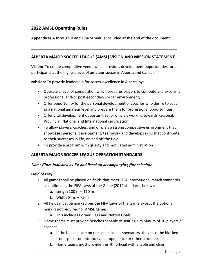## **2022 AMSL Operating Rules**

#### **Appendices A through D and Fine Schedule included at the end of the document.**

#### **ALBERTA MAJOR SOCCER LEAGUE (AMSL) VISION AND MISSION STATEMENT**

**\_\_\_\_\_\_\_\_\_\_\_\_\_\_\_\_\_\_\_\_\_\_\_\_\_\_\_\_\_\_\_\_\_\_\_\_\_\_\_\_\_\_\_\_\_\_\_\_\_\_\_\_\_\_\_\_\_\_\_\_\_\_\_\_\_\_\_\_\_\_**

**Vision:** To create competitive venue which provides development opportunities for all participants at the highest level of amateur soccer in Alberta and Canada

**Mission:** To provide leadership for soccer excellence in Alberta by:

- Operate a level of competition which prepares players to compete and excel in a professional and/or post-secondary soccer environment;
- Offer opportunity for the personal development of coaches who desire to coach at a national amateur level and prepare them for professional opportunities;
- Offer vital development opportunities for officials working towards Regional, Provincial, National and International certification;
- To allow players, coaches, and officials a strong competitive environment that showcases personal development, teamwork and develops skills that contribute to their successes in life, on and off the field;
- To provide a program with quality and motivated administration

#### **ALBERTA MAJOR SOCCER LEAGUE OPERATION STANDARDS**

#### *Note: Fines indicated as F# and listed on accompanying fine schedule*

#### **Field of Play**

- 1. All games shall be played on fields that meet FIFA international match standards as outlined in the FIFA Laws of the Game (2014 standards below);
	- a. Length  $100 m 110 m$
	- b. Width  $64 \text{ m} 75 \text{ m}$
- 2. All fields must be marked per the FIFA Laws of the Game except the optional mark is not required for AMSL games.
	- a. This includes Corner Flags and Netted Goals.
- 3. Home teams must provide benches capable of seating a minimum of 10 players / coaches.
	- a. If the benches are on the same side as spectators, they must be blocked from spectator entrance via a rope, fence or other blockade.
	- b. Home teams must provide the 4th official with a table and chair.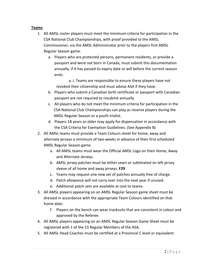#### **Teams**

- 1. All AMSL roster players must meet the minimum criteria for participation in the CSA National Club Championships, with proof provided to the AMSL Commissioner, via the AMSL Administrator prior to the players first AMSL Regular Season game.
	- a. Players who are protected persons, permanent residents, or provide a passport and were not born in Canada, must submit this documentation annually, if it has passed its expiry date or will before the current season ends.

a..i. Teams are responsible to ensure these players have not revoked their citizenship and must advise ASA if they have.

- b. Players who submit a Canadian birth certificate or passport with Canadian passport are not required to resubmit annually.
- c. All players who do not meet the minimum criteria for participation in the CSA National Club Championships can play as reserve players during the AMSL Regular Season or a youth trialist.
- d. Players 18 years or older may apply for dispensation in accordance with the CSA Criteria for Exemption Guidelines. (See Appendix B)
- 2. All AMSL teams must provide a Team Colours sheet for home, away and alternate jerseys a minimum of two weeks in advance of their first scheduled AMSL Regular Season game.
	- a. All AMSL teams must wear the Official AMSL Logo on their Home, Away and Alternate Jerseys.
	- b. AMSL jersey patches must be either sewn or sublimated on left jersey sleeve of all home and away jerseys. **F29**
	- c. Teams may request one new set of patches annually free of charge.
	- d. Patch allowance will not carry over into the next year if unused.
	- e. Additional patch sets are available at cost to teams.
- 3. All AMSL players appearing on an AMSL Regular Season game sheet must be dressed in accordance with the appropriate Team Colours identified on that home date.
	- f. Players on the bench can wear tracksuits that are consistent in colour and approved by the Referee.
- 4. All AMSL players appearing on an AMSL Regular Season Game Sheet must be registered with 1 of the 23 Regular Members of the ASA.
- 5. All AMSL Head Coaches must be certified at a Provincial C level or equivalent.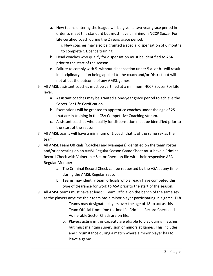a. New teams entering the league will be given a two-year grace period in order to meet this standard but must have a minimum NCCP Soccer For Life certified coach during the 2 years grace period.

i. New coaches may also be granted a special dispensation of 6 months to complete C Licence training.

- b. Head coaches who qualify for dispensation must be identified to ASA prior to the start of the season.
- c. Failure to comply with 5. without dispensation under 5.a. or b. will result in disciplinary action being applied to the coach and/or District but will not affect the outcome of any AMSL games.
- 6. All AMSL assistant coaches must be certified at a minimum NCCP Soccer For Life level.
	- a. Assistant coaches may be granted a one-year grace period to achieve the Soccer For Life Certification
	- b. Exemptions will be granted to apprentice coaches under the age of 25 that are in training in the CSA Competitive Coaching stream.
	- c. Assistant coaches who qualify for dispensation must be identified prior to the start of the season.
- 7. All AMSL teams will have a minimum of 1 coach that is of the same sex as the team.
- 8. All AMSL Team Officials (Coaches and Managers) identified on the team roster and/or appearing on an AMSL Regular Season Game Sheet must have a Criminal Record Check with Vulnerable Sector Check on file with their respective ASA Regular Member.
	- a. The Criminal Record Check can be requested by the ASA at any time during the AMSL Regular Season.
	- b. Teams may identify team officials who already have competed this type of clearance for work to ASA prior to the start of the season.
- 9. All AMSL teams must have at least 1 Team Official on the bench of the same sex as the players anytime their team has a minor player participating in a game. **F18**
	- a. Teams may designate players over the age of 18 to act as this Team Official from time to time if a Criminal Record Check and Vulnerable Sector Check are on file.
	- b. Players acting in this capacity are eligible to play during matches but must maintain supervision of minors at games. This includes any circumstance during a match where a minor player has to leave a game.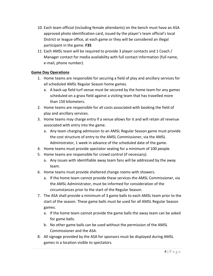- 10. Each team official (including female attendants) on the bench must have an ASA approved photo identification card, issued by the player's team official's local District or league office, at each game or they will be considered an illegal participant in the game. **F35**
- 11. Each AMSL team will be required to provide 3 player contacts and 1 Coach / Manager contact for media availability with full contact information (full name, e-mail, phone number).

## **Game Day Operations**

- 1. Home teams are responsible for securing a field of play and ancillary services for all scheduled AMSL Regular Season home games.
	- a. A back-up field turf venue must be secured by the home team for any games scheduled on a grass field against a visiting team that has travelled more than 150 kilometers.
- 2. Home teams are responsible for all costs associated with booking the field of play and ancillary services.
- 3. Home teams may charge entry if a venue allows for it and will retain all revenue associated with entry into the game.
	- a. Any team charging admission to an AMSL Regular Season game must provide the cost structure of entry to the AMSL Commissioner, via the AMSL Administrator, 1 week in advance of the scheduled date of the game.
- 4. Home teams must provide spectator seating for a minimum of 100 people.
- 5. Home teams are responsible for crowd control (if necessary).
	- a. Any issues with identifiable away team fans will be addressed by the away team.
- 6. Home teams must provide sheltered change rooms with showers.
	- a. If the home team cannot provide these services the AMSL Commissioner, via the AMSL Administrator, must be informed for consideration of the circumstances prior to the start of the Regular Season.
- 7. The ASA shall provide a minimum of 3 game balls to each AMSL team prior to the start of the season. These game balls must be used for all AMSL Regular Season games.
	- a. If the home team cannot provide the game balls the away team can be asked for game balls.
	- b. No other game balls can be used without the permission of the AMSL Commissioner and the ASA.
- 8. All signage provided by the ASA for sponsors must be displayed during AMSL games in a location visible to spectators.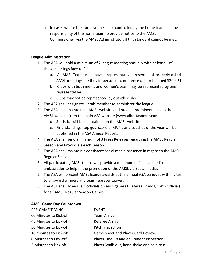a. In cases where the home venue is not controlled by the home team it is the responsibility of the home team to provide notice to the AMSL Commissioner, via the AMSL Administrator, if this standard cannot be met.

#### **League Administration**

- 1. The ASA will hold a minimum of 2 league meeting annually with at least 1 of those meetings face to face.
	- a. All AMSL Teams must have a representative present at all properly called AMSL meetings, be they in-person or conference call, or be fined \$200. **F1**
	- b. Clubs with both men's and women's team may be represented by one representative.
	- c. Clubs may not be represented by outside clubs.
- 2. The ASA shall designate 1 staff member to administer the league.
- 3. The ASA shall maintain an AMSL website and provide prominent links to the AMSL website from the main ASA website [\(www.albertasoccer.com\)](http://www.albertasoccer.com/).
	- d. Statistics will be maintained on the AMSL website.
	- e. Final standings, top goal scorers, MVP's and coaches of the year will be published in the ASA Annual Report.
- 4. The ASA shall send a minimum of 3 Press Releases regarding the AMSL Regular Season and Provincials each season.
- 5. The ASA shall maintain a consistent social media presence in regard to the AMSL Regular Season.
- 6. All participating AMSL teams will provide a minimum of 1 social media ambassador to help in the promotion of the AMSL via Social media.
- 7. The ASA will present AMSL league awards at the annual ASA banquet with invites to all award winners and team representatives.
- 8. The ASA shall schedule 4 officials on each game (1 Referee, 2 AR's, 1 4th Official) for all AMSL Regular Season Games.

#### **AMSL Game Day Countdown**

| PRE-GAME TIMING        | <b>EVENT</b>                              |
|------------------------|-------------------------------------------|
| 60 Minutes to Kick-off | <b>Team Arrival</b>                       |
| 45 Minutes to kick-off | Referee Arrival                           |
| 30 Minutes to kick-off | Pitch Inspection                          |
| 10 minutes to Kick-off | Game Sheet and Player Card Review         |
| 6 Minutes to Kick-off  | Player Line-up and equipment inspection   |
| 3 Minutes to kick-off  | Player Walk-out, hand shake and coin toss |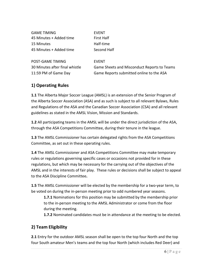| <b>GAME TIMING</b>             | <b>EVENT</b>                                |
|--------------------------------|---------------------------------------------|
| 45 Minutes + Added time        | <b>First Half</b>                           |
| 15 Minutes                     | Half-time                                   |
| 45 Minutes + Added time        | Second Half                                 |
|                                |                                             |
| POST-GAME TIMING               | <b>EVENT</b>                                |
| 30 Minutes after final whistle | Game Sheets and Misconduct Reports to Teams |
| 11:59 PM of Game Day           | Game Reports submitted online to the ASA    |
|                                |                                             |

## **1) Operating Rules**

**1.1** The Alberta Major Soccer League (AMSL) is an extension of the Senior Program of the Alberta Soccer Association (ASA) and as such is subject to all relevant Bylaws, Rules and Regulations of the ASA and the Canadian Soccer Association (CSA) and all relevant guidelines as stated in the AMSL Vision, Mission and Standards.

**1.2** All participating teams in the AMSL will be under the direct jurisdiction of the ASA, through the ASA Competitions Committee, during their tenure in the league.

**1.3** The AMSL Commissioner has certain delegated rights from the ASA Competitions Committee, as set out in these operating rules.

**1.4** The AMSL Commissioner and ASA Competitions Committee may make temporary rules or regulations governing specific cases or occasions not provided for in these regulations, but which may be necessary for the carrying out of the objectives of the AMSL and in the interests of fair play. These rules or decisions shall be subject to appeal to the ASA Discipline Committee**.** 

**1.5** The AMSL Commissioner will be elected by the membership for a two-year term, to be voted on during the in-person meeting prior to odd numbered year seasons.

**1.7.1** Nominations for this position may be submitted by the membership prior to the in-person meeting to the AMSL Administrator or come from the floor during the meeting.

**1.7.2** Nominated candidates must be in attendance at the meeting to be elected.

# **2) Team Eligibility**

**2.1** Entry for the outdoor AMSL season shall be open to the top four North and the top four South amateur Men's teams and the top four North (which includes Red Deer) and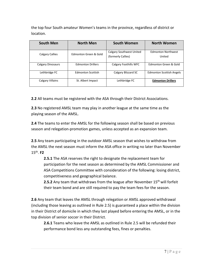the top four South amateur Women's teams in the province, regardless of district or location.

| <b>South Men</b>         | <b>North Men</b>         | South Women                                    | <b>North Women</b>                  |
|--------------------------|--------------------------|------------------------------------------------|-------------------------------------|
| Calgary Callies          | Edmonton Green & Gold    | Calgary Southwest United<br>(formerly Callies) | <b>Edmonton Northwest</b><br>United |
| <b>Calgary Dinosaurs</b> | <b>Edmonton Drillers</b> | Calgary Foothills WFC                          | Edmonton Green & Gold               |
| Lethbridge FC            | <b>Edmonton Scottish</b> | Calgary Blizzard SC                            | <b>Edmonton Scottish Angels</b>     |
| Calgary Villains         | St. Albert Impact        | Lethbridge FC                                  | <b>Edmonton Drillers</b>            |

**2.2** All teams must be registered with the ASA through their District Associations.

**2.3** No registered AMSL team may play in another league at the same time as the playing season of the AMSL.

**2.4** The teams to enter the AMSL for the following season shall be based on previous season and relegation-promotion games, unless accepted as an expansion team.

**2.5** Any team participating in the outdoor AMSL season that wishes to withdraw from the AMSL the next season must inform the ASA office in writing no later than November 15th. **F2**

**2.5.1** The ASA reserves the right to designate the replacement team for participation for the next season as determined by the AMSL Commissioner and ASA Competitions Committee with consideration of the following: losing district, competitiveness and geographical balance.

**2.5.2** Any team that withdraws from the league after November 15<sup>th</sup> will forfeit their team bond and are still required to pay the team fees for the season.

**2.6** Any team that leaves the AMSL through relegation or AMSL approved withdrawal (including those leaving as outlined in Rule 2.5) is guaranteed a place within the division in their District of domicile in which they last played before entering the AMSL, or in the top division of senior soccer in their District.

**2.6.1** Teams who leave the AMSL as outlined in Rule 2.5 will be refunded their performance bond less any outstanding fees, fines or penalties.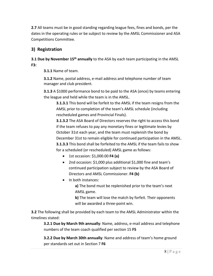**2.7** All teams must be in good standing regarding league fees, fines and bonds, per the dates in the operating rules or be subject to review by the AMSL Commissioner and ASA Competitions Committee.

# **3) Registration**

## **3.1 Due by November 15th annually** to the ASA by each team participating in the AMSL **F3:**

**3.1.1** Name of team.

**3.1.2** Name, postal address, e-mail address and telephone number of team manager and club president.

**3.1.3** A \$1000 performance bond to be paid to the ASA (once) by teams entering the league and held while the team is in the AMSL.

**3.1.3.1** This bond will be forfeit to the AMSL if the team resigns from the AMSL prior to completion of the team's AMSL schedule (including rescheduled games and Provincial Finals).

**3.1.3.2** The ASA Board of Directors reserves the right to access this bond if the team refuses to pay any monetary fines or legitimate levies by October 31st each year, and the team must replenish the bond by December 31st to remain eligible for continued participation in the AMSL. **3.1.3.3** This bond shall be forfeited to the AMSL if the team fails to show for a scheduled (or rescheduled) AMSL game as follows:

- 1st occasion: \$1,000.00 **F4 (a)**
- 2nd occasion: \$1,000 plus additional \$1,000 fine and team's continued participation subject to review by the ASA Board of Directors and AMSL Commissioner. **F4 (b)**
- In both instances:

**a)** The bond must be replenished prior to the team's next AMSL game.

**b)** The team will lose the match by forfeit. Their opponents will be awarded a three-point win.

**3.2** The following shall be provided by each team to the AMSL Administrator within the timelines stated:

**3.2.1 Due by March 9th annually**: Name, address, e-mail address and telephone numbers of the team coach qualified per section 15 **F5**

**3.2.2 Due by March 30th annually**: Name and address of team's home ground per standards set out in Section 7 **F6**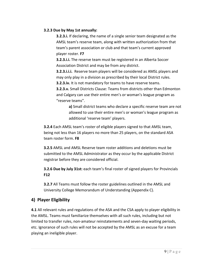#### **3.2.3 Due by May 1st annually:**

**3.2.3.i.** If declaring, the name of a single senior team designated as the AMSL team's reserve team, along with written authorization from that team's parent association or club and that team's current approved player roster. **F7**

**3.2.3.i.i.** The reserve team must be registered in an Alberta Soccer Association District and may be from any district.

**3.2.3.i.i.i.** Reserve team players will be considered as AMSL players and may only play in a division as prescribed by their local District rules. **3.2.3.iv.** It is not mandatory for teams to have reserve teams.

**3.2.3.v.** Small Districts Clause: Teams from districts other than Edmonton and Calgary can use their entire men's or woman's league program as "reserve teams".

**a)** Small district teams who declare a specific reserve team are not allowed to use their entire men's or woman's league program as additional 'reserve team' players.

**3.2.4** Each AMSL team's roster of eligible players signed to that AMSL team, being not less than 16 players no more than 25 players, on the standard ASA team roster form. **F8**

**3.2.5** AMSL and AMSL Reserve team roster additions and deletions must be submitted to the AMSL Administrator as they occur by the applicable District registrar before they are considered official.

**3.2.6 Due by July 31st:** each team's final roster of signed players for Provincials **F12**

**3.2.7** All Teams must follow the roster guidelines outlined in the AMSL and University College Memorandum of Understanding (Appendix C).

# **4) Player Eligibility**

**4.1** All relevant rules and regulations of the ASA and the CSA apply to player eligibility in the AMSL. Teams must familiarize themselves with all such rules, including but not limited to transfer rules, non-amateur reinstatements and seven-day waiting periods, etc. Ignorance of such rules will not be accepted by the AMSL as an excuse for a team playing an ineligible player.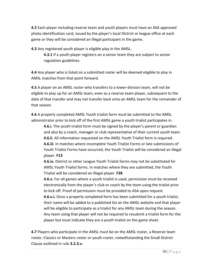**4.2** Each player including reserve team and youth players must have an ASA approved photo identification card, issued by the player's local District or league office at each game or they will be considered an illegal participant in the game**.**

**4.3** Any registered youth player is eligible play in the AMSL.

**4.3.1** If a youth player registers on a senior team they are subject to senior regulation guidelines.

**4.4** Any player who is listed on a submitted roster will be deemed eligible to play in AMSL matches from that point forward.

**4.5** A player on an AMSL roster who transfers to a lower-division team, will not be eligible to play up for an AMSL team, even as a reserve team player, subsequent to the date of that transfer and may not transfer back onto an AMSL team for the remainder of that season.

**4.6** A properly completed AMSL Youth trialist form must be submitted to the AMSL administrator prior to kick off of the first AMSL game a youth trialist participates in.

**4.6.i.** The youth trialist form must be signed by the player's parent or guardian and also by a coach, manager or club representative of their current youth team. **4.6.ii**. All information requested on the AMSL Youth Trialist form is required. **4.6.iii**. In matches where incomplete Youth Trialist Forms or late submissions of Youth Trialist Forms have occurred, the Youth Trialist will be considered an illegal player. **F13**

**4.6.iv.** District or other League Youth Trialist forms may not be substituted for AMSL Youth Trialist forms. In matches where they are submitted, the Youth Trialist will be considered an illegal player. **F28**

**4.6.v.** For all games where a youth trialist is used, permission must be received electronically from the player's club or coach by the team using the trialist prior to kick off. Proof of permission must be provided to ASA upon request.

**4.6.v.i.** Once a properly completed form has been submitted for a youth trialist, their name will be added to a published list on the AMSL website and that player will be eligible to participate as a trialist for any AMSL team during the season. Any team using that player will not be required to resubmit a trialist form for the player but must indicate they are a youth trialist on the game sheet.

**4.7** Players who participate in the AMSL must be on the AMSL roster, a Reserve team roster, Classics or Masters roster or youth roster, notwithstanding the Small District Clause outlined in rule **3.2.3.v.**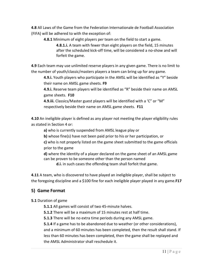**4.8** All Laws of the Game from the Federation Internationale de Football Association (FIFA) will be adhered to with the exception of:

**4.8.1** Minimum of eight players per team on the field to start a game.

**4.8.1.i.** A team with fewer than eight players on the field, 15 minutes after the scheduled kick-off time, will be considered a no-show and will forfeit the game.

**4.9** Each team may use unlimited reserve players in any given game. There is no limit to the number of youth/classic/masters players a team can bring up for any game.

**4.9.i.** Youth players who participate in the AMSL will be identified as "Y" beside their name on AMSL game sheets. **F9** 

**4.9.i.** Reserve team players will be identified as "R" beside their name on AMSL game sheets. **F10**

**4.9.iii.** Classics/Master guest players will be identified with a 'C" or "M" respectively beside their name on AMSL game sheets. **F11**

**4.10** An ineligible player is defined as any player not meeting the player eligibility rules as stated in Section 4 or:

**a)** who is currently suspended from AMSL league play or

**b)** whose fine(s) have not been paid prior to his or her participation, or

**c)** who is not properly listed on the game sheet submitted to the game officials prior to the game

**d)** where the identity of a player declared on the game sheet of an AMSL game can be proven to be someone other than the person named

**d.i.** in such cases the offending team shall forfeit that game.

**4.11** A team, who is discovered to have played an ineligible player, shall be subject to the foregoing discipline and a \$100 fine for each ineligible player played in any game.**F17** 

## **5) Game Format**

## **5.1** Duration of game

**5.1.1** All games will consist of two 45-minute halves.

**5.1.2** There will be a maximum of 15 minutes rest at half time.

**5.1.3** There will be no extra time periods during any AMSL game.

**5.1.4** If a game has to be abandoned due to weather (or other considerations), and a minimum of 60 minutes has been completed, then the result shall stand. If less than 60 minutes has been completed, then the game shall be replayed and the AMSL Administrator shall reschedule it.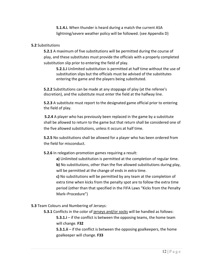**5.1.4.i.** When thunder is heard during a match the current ASA lightning/severe weather policy will be followed. (see Appendix D)

#### **5.2** Substitutions

**5.2.1** A maximum of five substitutions will be permitted during the course of play, and these substitutes must provide the officials with a properly completed substitution slip prior to entering the field of play.

**5.2.1.i** Unlimited substitution is permitted at half time without the use of substitution slips but the officials must be advised of the substitutes entering the game and the players being substituted.

**5.2.2** Substitutions can be made at any stoppage of play (at the referee's discretion), and the substitute must enter the field at the halfway line.

**5.2.3** A substitute must report to the designated game official prior to entering the field of play.

**5.2.4** A player who has previously been replaced in the game by a substitute shall be allowed to return to the game but that return shall be considered one of the five allowed substitutions, unless it occurs at half time.

**5.2.5** No substitutions shall be allowed for a player who has been ordered from the field for misconduct.

**5.2.6** In relegation-promotion games requiring a result:

**a)** Unlimited substitution is permitted at the completion of regular time. **b)** No substitutions, other than the five allowed substitutions during play, will be permitted at the change of ends in extra time.

**c)** No substitutions will be permitted by any team at the completion of extra time when kicks from the penalty spot are to follow the extra time period (other than that specified in the FIFA Laws "Kicks from the Penalty Mark–Procedure")

**5.3** Team Colours and Numbering of Jerseys:

**5.3.1** Conflicts in the color of jerseys and/or socks will be handled as follows: **5.3.1.i** – if the conflict is between the opposing teams, the home team will change. **F32**

**5.3.1.ii** – if the conflict is between the opposing goalkeepers, the home goalkeeper will change. **F33**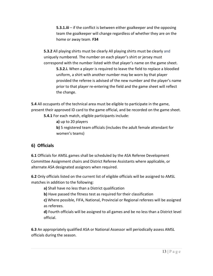**5.3.1.iii** – if the conflict is between either goalkeeper and the opposing team the goalkeeper will change regardless of whether they are on the home or away team. **F34**

**5.3.2** All playing shirts must be clearly All playing shirts must be clearly and uniquely numbered. The number on each player's shirt or jersey must correspond with the number listed with that player's name on the game sheet.

**5.3.2.i.** When a player is required to leave the field to replace a bloodied uniform, a shirt with another number may be worn by that player provided the referee is advised of the new number and the player's name prior to that player re-entering the field and the game sheet will reflect the change.

**5.4** All occupants of the technical area must be eligible to participate in the game, present their approved ID card to the game official, and be recorded on the game sheet. **5.4.1** For each match, eligible participants include:

**a)** up to 20 players

**b)** 5 registered team officials (includes the adult female attendant for women's teams)

# **6) Officials**

**6.1** Officials for AMSL games shall be scheduled by the ASA Referee Development Committee Assignment chairs and District Referee Assistants where applicable, or alternate ASA designated assignors when required.

**6.2** Only officials listed on the current list of eligible officials will be assigned to AMSL matches in addition to the following:

**a)** Shall have no less than a District qualification

**b)** Have passed the fitness test as required for their classification

**c)** Where possible, FIFA, National, Provincial or Regional referees will be assigned as referees.

**d)** Fourth officials will be assigned to all games and be no less than a District level official.

**6.3** An appropriately qualified ASA or National Assessor will periodically assess AMSL officials during the season.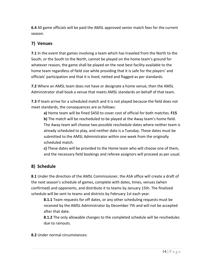**6.4** All game officials will be paid the AMSL approved senior match fees for the current season.

# **7) Venues**

**7.1** In the event that games involving a team which has traveled from the North to the South, or the South to the North, cannot be played on the home team's ground for whatever reason, the game shall be played on the next best facility available to the home team regardless of field size while providing that it is safe for the players' and officials' participation and that it is lined, netted and flagged as per standards.

**7.2** Where an AMSL team does not have or designate a home venue, then the AMSL Administrator shall book a venue that meets AMSL standards on behalf of that team.

**7.3** If team arrive for a scheduled match and it is not played because the field does not meet standards, the consequences are as follows:

**a)** Home team will be fined \$450 to cover cost of official for both matches. **F15 b)** The match will be rescheduled to be played at the Away team's home field. The Away team will choose two possible reschedule dates where neither team is already scheduled to play, and neither date is a Tuesday. These dates must be submitted to the AMSL Administrator within one week from the originally scheduled match.

**c)** These dates will be provided to the Home team who will choose one of them, and the necessary field bookings and referee assignors will proceed as per usual.

# **8) Schedule**

**8.1** Under the direction of the AMSL Commissioner, the ASA office will create a draft of the next season's schedule of games, complete with dates, times, venues (when confirmed) and opponents, and distribute it to teams by January 15th. The finalized schedule will be sent to teams and districts by February 1st each year.

**8.1.1** Team requests for off dates, or any other scheduling requests must be received by the AMSL Administrator by December 7th and will not be accepted after that date.

**8.1.2** The only allowable changes to the completed schedule will be reschedules due to rainouts.

**8.2** Under normal circumstances: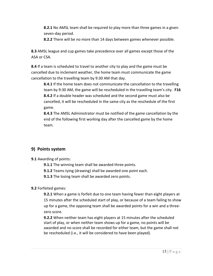**8.2.1** No AMSL team shall be required to play more than three games in a given seven-day period.

**8.2.2** There will be no more than 14 days between games whenever possible.

**8.3** AMSL league and cup games take precedence over all games except those of the ASA or CSA.

**8.4** If a team is scheduled to travel to another city to play and the game must be cancelled due to inclement weather, the home team must communicate the game cancellation to the travelling team by 9:30 AM that day.

**8.4.1** If the home team does not communicate the cancellation to the travelling team by 9:30 AM, the game will be rescheduled in the travelling team's city. **F16 8.4.2** If a double header was scheduled and the second game must also be cancelled, it will be rescheduled in the same city as the reschedule of the first game.

**8.4.3** The AMSL Administrator must be notified of the game cancellation by the end of the following first working day after the cancelled game by the home team.

# **9) Points system**

**9.1** Awarding of points:

**9.1.1** The winning team shall be awarded three points.

**9.1.2** Teams tying (drawing) shall be awarded one point each.

**9.1.3** The losing team shall be awarded zero points.

## **9.2** Forfeited games:

**9.2.1** When a game is forfeit due to one team having fewer than eight players at 15 minutes after the scheduled start of play, or because of a team failing to show up for a game, the opposing team shall be awarded points for a win and a threezero score.

**9.2.2** When neither team has eight players at 15 minutes after the scheduled start of play, or when neither team shows up for a game, no points will be awarded and no score shall be recorded for either team, but the game shall not be rescheduled (i.e., it will be considered to have been played).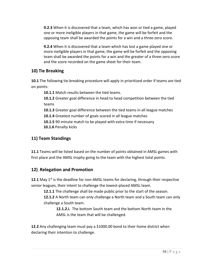**9.2.3** When it is discovered that a team, which has won or tied a game, played one or more ineligible players in that game, the game will be forfeit and the opposing team shall be awarded the points for a win and a three-zero score.

**9.2.4** When it is discovered that a team which has lost a game played one or more ineligible players in that game, the game will be forfeit and the opposing team shall be awarded the points for a win and the greater of a three-zero score and the score recorded on the game sheet for their team.

# **10) Tie Breaking**

**10.1** The following tie-breaking procedure will apply in prioritized order if teams are tied on points:

**10.1.1** Match results between the tied teams.

**10.1.2** Greater goal difference in head to head competition between the tied teams

**10.1.3** Greater goal difference between the tied teams in all league matches

**10.1.4** Greatest number of goals scored in all league matches

**10.1.5** 90 minute match to be played with extra time if necessary **10.1.6** Penalty kicks

# **11) Team Standings**

**11.1** Teams will be listed based on the number of points obtained in AMSL games with first place and the AMSL trophy going to the team with the highest total points.

# **12) Relegation and Promotion**

**12.1** May 1<sup>st</sup> is the deadline for non-AMSL teams for declaring, through their respective senior leagues, their intent to challenge the lowest-placed AMSL team.

**12.1.1** The challenge shall be made public prior to the start of the season.

**12.1.2** A North team can only challenge a North team and a South team can only challenge a South team.

**12.1.2.i.** The bottom South team and the bottom North team in the AMSL is the team that will be challenged.

**12.2** Any challenging team must pay a \$1000.00 bond to their home district when declaring their intention to challenge.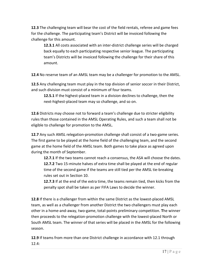**12.3** The challenging team will bear the cost of the field rentals, referee and game fees for the challenge. The participating team's District will be invoiced following the challenge for this amount.

**12.3.1** All costs associated with an inter-district challenge series will be charged back equally to each participating respective senior league. The participating team's Districts will be invoiced following the challenge for their share of this amount.

**12.4** No reserve team of an AMSL team may be a challenger for promotion to the AMSL.

**12.5** Any challenging team must play in the top division of senior soccer in their District, and such division must consist of a minimum of four teams.

**12.5.1** If the highest-placed team in a division declines to challenge, then the next-highest-placed team may so challenge, and so on.

**12.6** Districts may choose not to forward a team's challenge due to stricter eligibility rules than those contained in the AMSL Operating Rules, and such a team shall not be eligible to challenge for promotion to the AMSL.

**12.7** Any such AMSL relegation-promotion challenge shall consist of a two-game series. The first game to be played at the home field of the challenging team, and the second game at the home field of the AMSL team. Both games to take place as agreed upon during the month of September.

**12.7.1** If the two teams cannot reach a consensus, the ASA will choose the dates. **12.7.2** Two 15-minute halves of extra time shall be played at the end of regular time of the second game if the teams are still tied per the AMSL tie-breaking rules set out in Section 10.

**12.7.3** If at the end of the extra time, the teams remain tied, then kicks from the penalty spot shall be taken as per FIFA Laws to decide the winner.

**12.8** If there is a challenger from within the same District as the lowest-placed AMSL team, as well as a challenger from another District the two challengers must play each other in a home-and-away, two-game, total-points preliminary competition. **T**he winner then proceeds to the relegation-promotion challenge with the lowest-placed North or South AMSL team. The winner of that series will be placed in the AMSL for the following season.

**12.9** If teams from more than one District challenge in accordance with 12.1 through 12.4: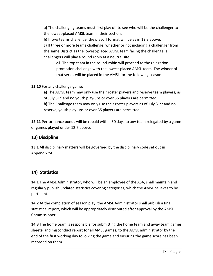**a)** The challenging teams must first play off to see who will be the challenger to the lowest-placed AMSL team in their section.

**b)** If two teams challenge, the playoff format will be as in 12.8 above.

**c)** If three or more teams challenge, whether or not including a challenger from the same District as the lowest-placed AMSL team facing the challenge, all challengers will play a round robin at a neutral site.

**c.i.** The top team in the round-robin will proceed to the relegationpromotion challenge with the lowest-placed AMSL team. The winner of that series will be placed in the AMSL for the following season.

**12.10** For any challenge game:

**a)** The AMSL team may only use their roster players and reserve team players, as of July  $31<sup>st</sup>$  and no youth play-ups or over 35 players are permitted. **b)** The Challenge team may only use their roster players as of July 31st and no reserve, youth play-ups or over 35 players are permitted.

**12.11** Performance bonds will be repaid within 30 days to any team relegated by a game or games played under 12.7 above.

# **13) Discipline**

**13.1** All disciplinary matters will be governed by the disciplinary code set out in Appendix "A.

# **14) Statistics**

**14.1** The AMSL Administrator, who will be an employee of the ASA, shall maintain and regularly publish updated statistics covering categories, which the AMSL believes to be pertinent.

**14.2** At the completion of season play, the AMSL Administrator shall publish a final statistical report, which will be appropriately distributed after approval by the AMSL Commissioner.

**14.3** The home team is responsible for submitting the home team and away team games sheets. and misconduct report for all AMSL games, to the AMSL administrator by the end of the first working day following the game and ensuring the game score has been recorded on them.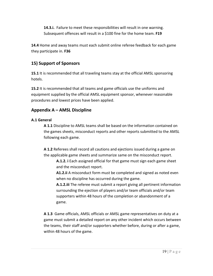**14.3.i.** Failure to meet these responsibilities will result in one warning. Subsequent offences will result in a \$100 fine for the home team. **F19**

**14.4** Home and away teams must each submit online referee feedback for each game they participate in. **F36**

# **15) Support of Sponsors**

**15.1** It is recommended that all traveling teams stay at the official AMSL sponsoring hotels.

**15.2** It is recommended that all teams and game officials use the uniforms and equipment supplied by the official AMSL equipment sponsor, whenever reasonable procedures and lowest prices have been applied.

# **Appendix A – AMSL Discipline**

## **A.1 General**

**A 1.1** Discipline to AMSL teams shall be based on the information contained on the games sheets, misconduct reports and other reports submitted to the AMSL following each game.

**A 1.2** Referees shall record all cautions and ejections issued during a game on the applicable game sheets and summarize same on the misconduct report.

**A.1.2. i** Each assigned official for that game must sign each game sheet and the misconduct report.

**A1.2.ii** A misconduct form must be completed and signed as noted even when no discipline has occurred during the game.

**A.1.2.iii** The referee must submit a report giving all pertinent information surrounding the ejection of players and/or team officials and/or team supporters within 48 hours of the completion or abandonment of a game.

**A 1.3** Game officials, AMSL officials or AMSL game representatives on duty at a game must submit a detailed report on any other incident which occurs between the teams, their staff and/or supporters whether before, during or after a game, within 48 hours of the game.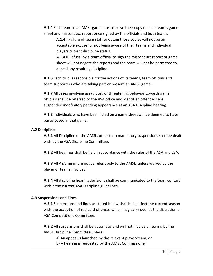**A 1.4** Each team in an AMSL game must receive their copy of each team's game sheet and misconduct report once signed by the officials and both teams.

**A.1.4.i** Failure of team staff to obtain those copies will not be an acceptable excuse for not being aware of their teams and individual players current discipline status.

**A 1.4.ii** Refusal by a team official to sign the misconduct report or game sheet will not negate the reports and the team will not be permitted to appeal any resulting discipline.

**A 1.6** Each club is responsible for the actions of its teams, team officials and team supporters who are taking part or present an AMSL game.

**A 1.7** All cases involving assault on, or threatening behavior towards game officials shall be referred to the ASA office and identified offenders are suspended indefinitely pending appearance at an ASA Discipline hearing.

**A 1.8** Individuals who have been listed on a game sheet will be deemed to have participated in that game.

#### **A.2 Discipline**

**A.2.1** All Discipline of the AMSL, other than mandatory suspensions shall be dealt with by the ASA Discipline Committee.

**A.2.2** All hearings shall be held in accordance with the rules of the ASA and CSA.

**A.2.3** All ASA minimum notice rules apply to the AMSL, unless waived by the player or teams involved.

**A.2.4** All discipline hearing decisions shall be communicated to the team contact within the current ASA Discipline guidelines.

#### **A.3 Suspensions and Fines**

**A.3.1** Suspensions and fines as stated below shall be in effect the current season with the exception of red card offences which may carry over at the discretion of ASA Competitions Committee.

**A.3.2** All suspensions shall be automatic and will not involve a hearing by the AMSL Discipline Committee unless:

**a)** An appeal is launched by the relevant player/team, or **b)** A hearing is requested by the AMSL Commissioner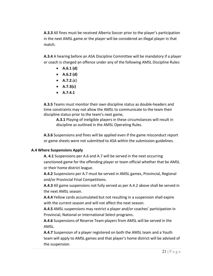**A.3.3** All fines must be received Alberta Soccer prior to the player's participation in the next AMSL game or the player will be considered an illegal player in that match.

**A.3.4** A hearing before an ASA Discipline Committee will be mandatory if a player or coach is charged an offence under any of the following AMSL Discipline Rules:

- **A.6.1 (d)**
- **A.6.2 (d)**
- **A.7.2.**(**c**)
- **A.7.3(c)**
- **A.7.4.1**

**A.3.5** Teams must monitor their own discipline status as double-headers and time constraints may not allow the AMSL to communicate to the team their discipline status prior to the team's next game,

**A.3.1** Playing of ineligible players in these circumstances will result in discipline as outlined in the AMSL Operating Rules.

**A.3.6** Suspensions and fines will be applied even if the game misconduct report or game sheets were not submitted to ASA within the submission guidelines.

## **A.4 Where Suspensions Apply**

**A. 4.1** Suspensions per A.6 and A.7 will be served in the next occurring sanctioned game for the offending player or team official whether that be AMSL or their home district league.

**A.4.2** Suspensions per A.7 must be served in AMSL games, Provincial, Regional and/or Provincial Final Competitions.

**A.4.3** All game suspensions not fully served as per A.4.2 above shall be served in the next AMSL season.

**A.4.4** Yellow cards accumulated but not resulting in a suspension shall expire with the current season and will not affect the next season.

**A.4.5** AMSL suspensions may restrict a player and/or coaches' participation in Provincial, National or International Select programs.

**A.4.6** Suspensions of Reserve Team players from AMSL will be served in the AMSL.

**A.4.7** Suspension of a player registered on both the AMSL team and a Youth team will apply to AMSL games and that player's home district will be advised of the suspension.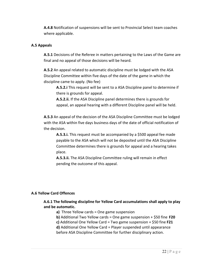**A.4.8** Notification of suspensions will be sent to Provincial Select team coaches where applicable.

#### **A.5 Appeals**

**A.5.1** Decisions of the Referee in matters pertaining to the Laws of the Game are final and no appeal of those decisions will be heard.

**A.5.2** An appeal related to automatic discipline must be lodged with the ASA Discipline Committee within five days of the date of the game in which the discipline came to apply. (No fee)

**A.5.2.i** This request will be sent to a ASA Discipline panel to determine if there is grounds for appeal.

**A.5.2.ii.** If the ASA Discipline panel determines there is grounds for appeal, an appeal hearing with a different Discipline panel will be held.

**A.5.3** An appeal of the decision of the ASA Discipline Committee must be lodged with the ASA within five days business days of the date of official notification of the decision.

**A.5.3.i.** This request must be accompanied by a \$500 appeal fee made payable to the ASA which will not be deposited until the ASA Discipline Committee determines there is grounds for appeal and a hearing takes place.

**A.5.3.ii.** The ASA Discipline Committee ruling will remain in effect pending the outcome of this appeal.

#### **A.6 Yellow Card Offences**

## **A.6.1 The following discipline for Yellow Card accumulations shall apply to play and be automatic.**

- **a)** Three Yellow cards = One game suspension
- **b)** Additional Two Yellow cards = One game suspension + \$50 fine **F20**
- **c)** Additional One Yellow Card = Two game suspension + \$50 fine **F21**

**d)** Additional One Yellow Card = Player suspended until appearance before ASA Discipline Committee for further disciplinary action.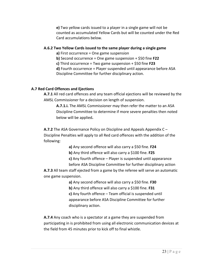**e)** Two yellow cards issued to a player in a single game will not be counted as accumulated Yellow Cards but will be counted under the Red Card accumulations below.

#### **A.6.2 Two Yellow Cards issued to the same player during a single game**

**a)** First occurrence = One game suspension

**b)** Second occurrence = One game suspension + \$50 fine **F22**

**c)** Third occurrence = Two game suspension + \$50 fine **F23**

**d)** Fourth occurrence = Player suspended until appearance before ASA Discipline Committee for further disciplinary action.

## **A.7 Red Card Offences and Ejections**

**A.7.1** All red card offences and any team official ejections will be reviewed by the AMSL Commissioner for a decision on length of suspension.

**A.7.1.i.** The AMSL Commissioner may then refer the matter to an ASA Discipline Committee to determine if more severe penalties then noted below will be applied**.** 

**A.7.2** The ASA Governance Policy on Discipline and Appeals Appendix C – Discipline Penalties will apply to all Red card offences with the addition of the following:

**a)** Any second offence will also carry a \$50 fine. **F24**

**b)** Any third offence will also carry a \$100 fine. **F25**

**c)** Any fourth offence – Player is suspended until appearance

before ASA Discipline Committee for further disciplinary action

**A.7.3** All team staff ejected from a game by the referee will serve an automatic one game suspension.

> **a)** Any second offence will also carry a \$50 fine. **F30 b)** Any third offence will also carry a \$100 fine. **F31 c)** Any fourth offence – Team official is suspended until appearance before ASA Discipline Committee for further disciplinary action.

**A.7.4** Any coach who is a spectator at a game they are suspended from participating in is prohibited from using all electronic communication devices at the field from 45 minutes prior to kick off to final whistle.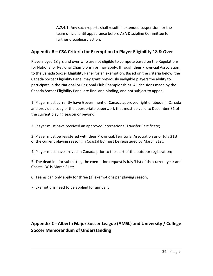**A.7.4.1.** Any such reports shall result in extended suspension for the team official until appearance before ASA Discipline Committee for further disciplinary action.

# **Appendix B – CSA Criteria for Exemption to Player Eligibility 18 & Over**

Players aged 18 yrs and over who are not eligible to compete based on the Regulations for National or Regional Championships may apply, through their Provincial Association, to the Canada Soccer Eligibility Panel for an exemption. Based on the criteria below, the Canada Soccer Eligibility Panel may grant previously ineligible players the ability to participate in the National or Regional Club Championships. All decisions made by the Canada Soccer Eligibility Panel are final and binding, and not subject to appeal.

1) Player must currently have Government of Canada approved right of abode in Canada and provide a copy of the appropriate paperwork that must be valid to December 31 of the current playing season or beyond;

2) Player must have received an approved International Transfer Certificate;

3) Player must be registered with their Provincial/Territorial Association as of July 31st of the current playing season; in Coastal BC must be registered by March 31st;

4) Player must have arrived in Canada prior to the start of the outdoor registration;

5) The deadline for submitting the exemption request is July 31st of the current year and Coastal BC is March 31st;

6) Teams can only apply for three (3) exemptions per playing season;

7) Exemptions need to be applied for annually.

# **Appendix C - Alberta Major Soccer League (AMSL) and University / College Soccer Memorandum of Understanding**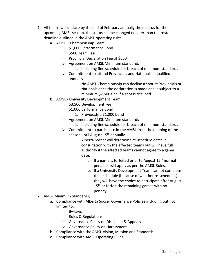- 1. All teams will declare by the end of February annually their status for the upcoming AMSL season, the status can be changed no later than the roster deadline outlined in the AMSL operating rules.
	- a. AMSL Championship Team
		- i. \$1,000 Performance Bond
		- ii. \$500 Team Fee
		- iii. Provincial Declaration Fee of \$600
		- iv. Agreement on AMSL Minimum standards
			- 1. Including fine schedule for breach of minimum standards
		- v. Commitment to attend Provincials and Nationals if qualified annually
			- 1. No AMSL Championship can decline a spot at Provincials or Nationals once the declaration is made and is subject to a minimum \$2,500 fine if a spot is declined.
	- b. AMSL University Development Team
		- i. \$3,500 Development Fee
		- ii. \$1,000 performance Bond
			- 1. Previously a \$1,000 bond
		- iii. Agreement on AMSL Minimum standards
			- 1. Including fine schedule for breach of minimum standards
		- iv. Commitment to participate in the AMSL from the opening of the season until August 15<sup>th</sup> annually.
			- 1. Alberta Soccer will determine re-schedule dates in consultation with the affected teams but will have full authority if the affected teams cannot agree to a game date.
				- a. If a game is forfeited prior to August  $15<sup>th</sup>$  normal penalties will apply as per the AMSL Rules.
				- b. If a University Development Team cannot complete their schedule (because of weather re-schedules) they will have the choice to participate after August 15<sup>th</sup> or forfeit the remaining games with no penalty.
- 2. AMSL Minimum Standards;
	- a. Compliance with Alberta Soccer Governance Policies including but not limited to;
		- i. By-laws
		- ii. Rules & Regulations
		- iii. Governance Policy on Discipline & Appeals
		- iv. Governance Policy on Harassment
	- b. Compliance with the AMSL Vision, Mission and Standards
	- c. Compliance with AMSL Operating Rules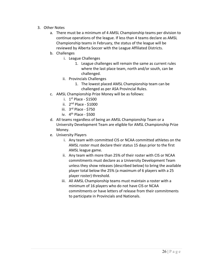- 3. Other Notes
	- a. There must be a minimum of 4 AMSL Championship teams per division to continue operations of the league. If less than 4 teams declare as AMSL Championship teams in February, the status of the league will be reviewed by Alberta Soccer with the League Affiliated Districts.
	- b. Challenges
		- i. League Challenges
			- 1. League challenges will remain the same as current rules where the last place team, north and/or south, can be challenged.
		- ii. Provincials Challenges
			- 1. The lowest placed AMSL Championship team can be challenged as per ASA Provincial Rules.
	- c. AMSL Championship Prize Money will be as follows:
		- i.  $1<sup>st</sup>$  Place \$1500
		- ii. 2nd Place \$1000
		- iii. 3rd Place \$750
		- iv. 4th Place \$500
	- d. All teams regardless of being an AMSL Championship Team or a University Development Team are eligible for AMSL Championship Prize Money.
	- e. University Players
		- i. Any team with committed CIS or NCAA committed athletes on the AMSL roster must declare their status 15 days prior to the first AMSL league game.
		- ii. Any team with more than 25% of their roster with CIS or NCAA commitments must declare as a University Development Team unless they show releases (described below) to bring the available player total below the 25% (a maximum of 6 players with a 25 player roster) threshold.
		- iii. All AMSL Championship teams must maintain a roster with a minimum of 16 players who do not have CIS or NCAA commitments or have letters of release from their commitments to participate in Provincials and Nationals.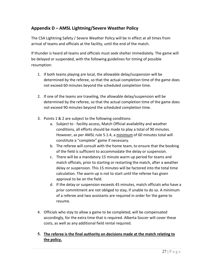# **Appendix D – AMSL Lightning/Severe Weather Policy**

The CSA Lightning Safety / Severe Weather Policy will be in effect at all times from arrival of teams and officials at the facility, until the end of the match.

If thunder is heard all teams and officials must seek shelter immediately. The game will be delayed or suspended, with the following guidelines for timing of possible resumption:

- 1. If both teams playing are local, the allowable delay/suspension will be determined by the referee, so that the actual completion time of the game does not exceed 60 minutes beyond the scheduled completion time.
- 2. If one of the teams are traveling, the allowable delay/suspension will be determined by the referee, so that the actual completion time of the game does not exceed 90 minutes beyond the scheduled completion time.
- 3. Points 1 & 2 are subject to the following conditions:
	- a. Subject to facility access, Match Official availability and weather conditions, all efforts should be made to play a total of 90 minutes. However, as per AMSL rule 5.1.4, a minimum of 60 minutes total will constitute a "complete" game if necessary.
	- b. The referee will consult with the home team, to ensure that the booking of the field is sufficient to accommodate the delay or suspension.
	- c. There will be a mandatory 15 minute warm up period for teams and match officials, prior to starting or restarting the match, after a weather delay or suspension. This 15 minutes will be factored into the total time calculation. The warm up is not to start until the referee has given approval to be on the field.
	- d. If the delay or suspension exceeds 45 minutes, match officials who have a prior commitment are not obliged to stay, if unable to do so. A minimum of a referee and two assistants are required in order for the game to resume.
- 4. Officials who stay to allow a game to be completed, will be compensated accordingly, for the extra time that is required. Alberta Soccer will cover these costs, as well as any additional field rental required.

## **5. The referee is the final authority on decisions made at the match relating to the policy.**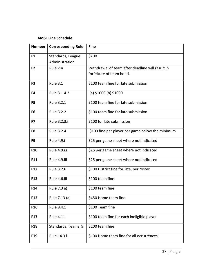#### **AMSL Fine Schedule**

| <b>Number</b>   | <b>Corresponding Rule</b>           | <b>Fine</b>                                      |
|-----------------|-------------------------------------|--------------------------------------------------|
| F <sub>1</sub>  | Standards, League<br>Administration | \$200                                            |
| F <sub>2</sub>  | <b>Rule 2.4</b>                     | Withdrawal of team after deadline will result in |
|                 |                                     | forfeiture of team bond.                         |
| F <sub>3</sub>  | <b>Rule 3.1</b>                     | \$100 team fine for late submission              |
| F4              | Rule 3.1.4.3                        | (a) \$1000 (b) \$1000                            |
| F <sub>5</sub>  | Rule 3.2.1                          | \$100 team fine for late submission              |
| F <sub>6</sub>  | Rule 3.2.2                          | \$100 team fine for late submission              |
| F7              | Rule 3.2.3.i                        | \$100 for late submission                        |
| F8              | Rule 3.2.4                          | \$100 fine per player per game below the minimum |
| F9              | <b>Rule 4.9.i</b>                   | \$25 per game sheet where not indicated          |
| <b>F10</b>      | Rule 4.9.i.i                        | \$25 per game sheet where not indicated          |
| <b>F11</b>      | Rule 4.9.iii                        | \$25 per game sheet where not indicated          |
| F12             | Rule 3.2.6                          | \$100 District fine for late, per roster         |
| F13             | Rule 4.6.iii                        | \$100 team fine                                  |
| F14             | Rule 7.3 a)                         | \$100 team fine                                  |
| F <sub>15</sub> | Rule 7.13 (a)                       | \$450 Home team fine                             |
| F16             | Rule 8.4.1                          | \$100 Team fine                                  |
| <b>F17</b>      | <b>Rule 4.11</b>                    | \$100 team fine for each ineligible player       |
| F <sub>18</sub> | Standards, Teams, 9                 | \$100 team fine                                  |
| F <sub>19</sub> | Rule 14.3.i.                        | \$100 Home team fine for all occurrences.        |